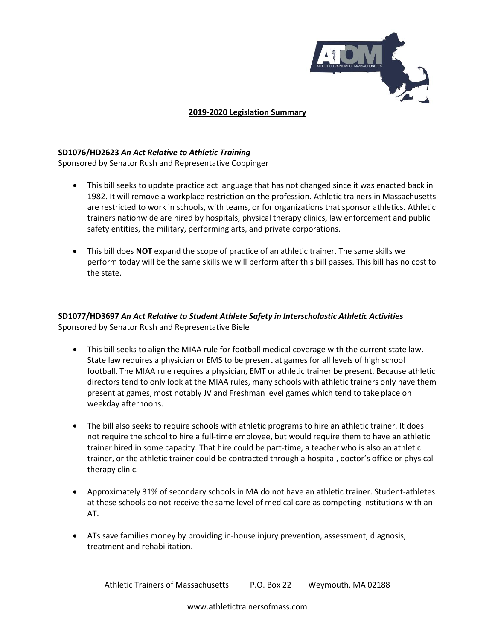

## **2019-2020 Legislation Summary**

## **SD1076/HD2623** *An Act Relative to Athletic Training*

Sponsored by Senator Rush and Representative Coppinger

- This bill seeks to update practice act language that has not changed since it was enacted back in 1982. It will remove a workplace restriction on the profession. Athletic trainers in Massachusetts are restricted to work in schools, with teams, or for organizations that sponsor athletics. Athletic trainers nationwide are hired by hospitals, physical therapy clinics, law enforcement and public safety entities, the military, performing arts, and private corporations.
- This bill does **NOT** expand the scope of practice of an athletic trainer. The same skills we perform today will be the same skills we will perform after this bill passes. This bill has no cost to the state.

## **SD1077/HD3697** *An Act Relative to Student Athlete Safety in Interscholastic Athletic Activities* Sponsored by Senator Rush and Representative Biele

- This bill seeks to align the MIAA rule for football medical coverage with the current state law. State law requires a physician or EMS to be present at games for all levels of high school football. The MIAA rule requires a physician, EMT or athletic trainer be present. Because athletic directors tend to only look at the MIAA rules, many schools with athletic trainers only have them present at games, most notably JV and Freshman level games which tend to take place on weekday afternoons.
- The bill also seeks to require schools with athletic programs to hire an athletic trainer. It does not require the school to hire a full-time employee, but would require them to have an athletic trainer hired in some capacity. That hire could be part-time, a teacher who is also an athletic trainer, or the athletic trainer could be contracted through a hospital, doctor's office or physical therapy clinic.
- Approximately 31% of secondary schools in MA do not have an athletic trainer. Student-athletes at these schools do not receive the same level of medical care as competing institutions with an AT.
- ATs save families money by providing in-house injury prevention, assessment, diagnosis, treatment and rehabilitation.

Athletic Trainers of Massachusetts P.O. Box 22 Weymouth, MA 02188